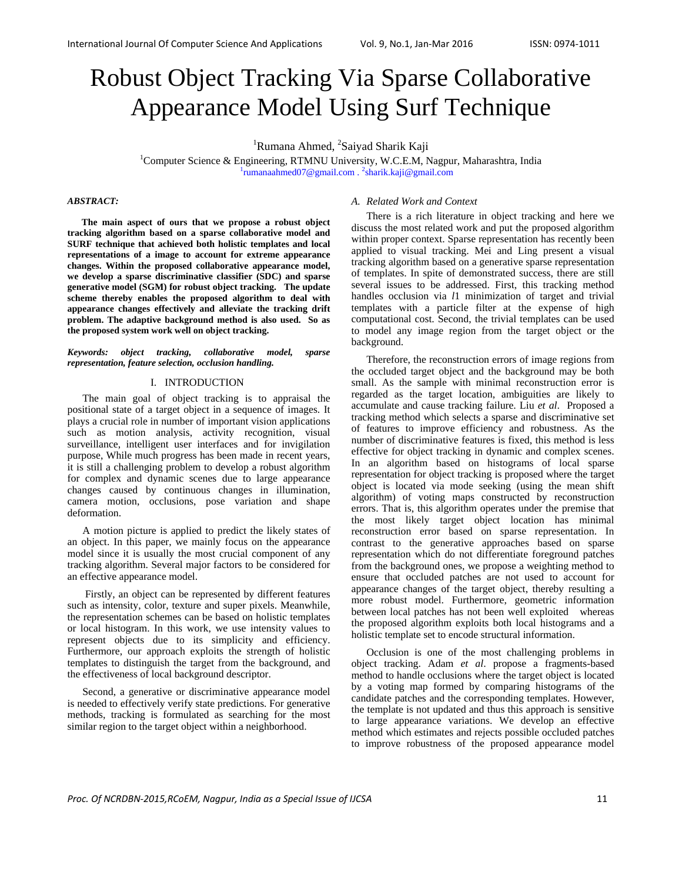# Robust Object Tracking Via Sparse Collaborative Appearance Model Using Surf Technique

<sup>1</sup>Rumana Ahmed, <sup>2</sup> <sup>1</sup>Rumana Ahmed, <sup>2</sup>Saiyad Sharik Kaji<br><sup>1</sup>Computer Science & Engineering, PTMNU University, W.C.E.M. N

Computer Science & Engineering, RTMNU University, W.C.E.M, Nagpur, Maharashtra, India rumanaahmed07@gmail.com . <sup>2</sup>sharik.kaji@gmail.com

# *ABSTRACT:*

**The main aspect of ours that we propose a robust object tracking algorithm based on a sparse collaborative model and SURF technique that achieved both holistic templates and local representations of a image to account for extreme appearance changes. Within the proposed collaborative appearance model, we develop a sparse discriminative classifier (SDC) and sparse generative model (SGM) for robust object tracking. The update scheme thereby enables the proposed algorithm to deal with appearance changes effectively and alleviate the tracking drift problem. The adaptive background method is also used. So as the proposed system work well on object tracking.** 

#### *Keywords: object tracking, collaborative model, sparse representation, feature selection, occlusion handling.*

#### I. INTRODUCTION

The main goal of object tracking is to appraisal the positional state of a target object in a sequence of images. It plays a crucial role in number of important vision applications such as motion analysis, activity recognition, visual surveillance, intelligent user interfaces and for invigilation purpose, While much progress has been made in recent years, it is still a challenging problem to develop a robust algorithm for complex and dynamic scenes due to large appearance changes caused by continuous changes in illumination, camera motion, occlusions, pose variation and shape deformation.

A motion picture is applied to predict the likely states of an object. In this paper, we mainly focus on the appearance model since it is usually the most crucial component of any tracking algorithm. Several major factors to be considered for an effective appearance model.

 Firstly, an object can be represented by different features such as intensity, color, texture and super pixels. Meanwhile, the representation schemes can be based on holistic templates or local histogram. In this work, we use intensity values to represent objects due to its simplicity and efficiency. Furthermore, our approach exploits the strength of holistic templates to distinguish the target from the background, and the effectiveness of local background descriptor.

Second, a generative or discriminative appearance model is needed to effectively verify state predictions. For generative methods, tracking is formulated as searching for the most similar region to the target object within a neighborhood.

# *A. Related Work and Context*

There is a rich literature in object tracking and here we discuss the most related work and put the proposed algorithm within proper context. Sparse representation has recently been applied to visual tracking. Mei and Ling present a visual tracking algorithm based on a generative sparse representation of templates. In spite of demonstrated success, there are still several issues to be addressed. First, this tracking method handles occlusion via *l*1 minimization of target and trivial templates with a particle filter at the expense of high computational cost. Second, the trivial templates can be used to model any image region from the target object or the background.

Therefore, the reconstruction errors of image regions from the occluded target object and the background may be both small. As the sample with minimal reconstruction error is regarded as the target location, ambiguities are likely to accumulate and cause tracking failure. Liu *et al*. Proposed a tracking method which selects a sparse and discriminative set of features to improve efficiency and robustness. As the number of discriminative features is fixed, this method is less effective for object tracking in dynamic and complex scenes. In an algorithm based on histograms of local sparse representation for object tracking is proposed where the target object is located via mode seeking (using the mean shift algorithm) of voting maps constructed by reconstruction errors. That is, this algorithm operates under the premise that the most likely target object location has minimal reconstruction error based on sparse representation. In contrast to the generative approaches based on sparse representation which do not differentiate foreground patches from the background ones, we propose a weighting method to ensure that occluded patches are not used to account for appearance changes of the target object, thereby resulting a more robust model. Furthermore, geometric information between local patches has not been well exploited whereas the proposed algorithm exploits both local histograms and a holistic template set to encode structural information.

Occlusion is one of the most challenging problems in object tracking. Adam *et al*. propose a fragments-based method to handle occlusions where the target object is located by a voting map formed by comparing histograms of the candidate patches and the corresponding templates. However, the template is not updated and thus this approach is sensitive to large appearance variations. We develop an effective method which estimates and rejects possible occluded patches to improve robustness of the proposed appearance model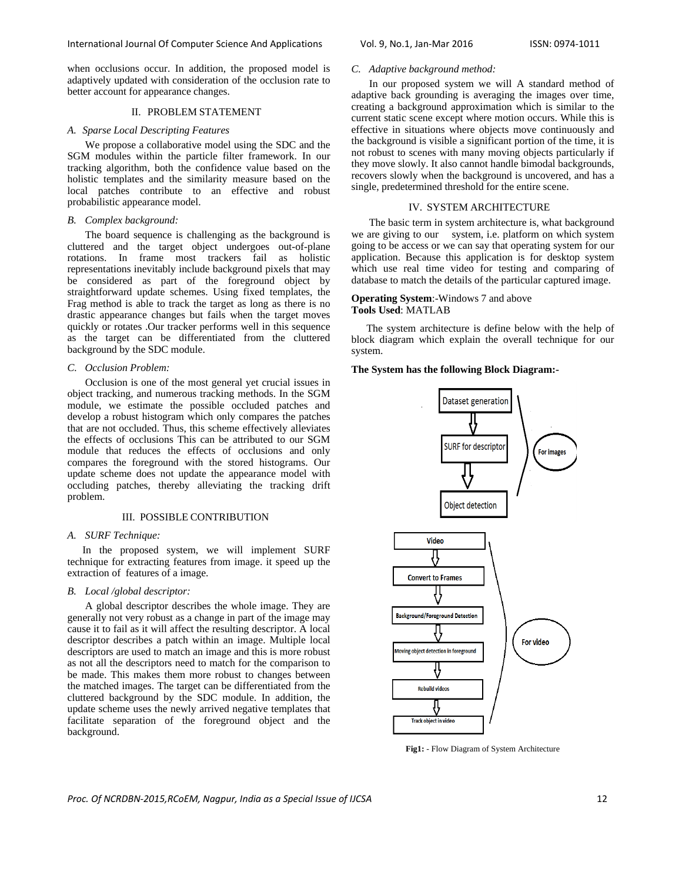when occlusions occur. In addition, the proposed model is adaptively updated with consideration of the occlusion rate to better account for appearance changes.

## II. PROBLEM STATEMENT

## *A. Sparse Local Descripting Features*

 We propose a collaborative model using the SDC and the SGM modules within the particle filter framework. In our tracking algorithm, both the confidence value based on the holistic templates and the similarity measure based on the local patches contribute to an effective and robust probabilistic appearance model.

## *B. Complex background:*

The board sequence is challenging as the background is cluttered and the target object undergoes out-of-plane rotations. In frame most trackers fail as holistic representations inevitably include background pixels that may be considered as part of the foreground object by straightforward update schemes. Using fixed templates, the Frag method is able to track the target as long as there is no drastic appearance changes but fails when the target moves quickly or rotates .Our tracker performs well in this sequence as the target can be differentiated from the cluttered background by the SDC module.

# *C. Occlusion Problem:*

Occlusion is one of the most general yet crucial issues in object tracking, and numerous tracking methods. In the SGM module, we estimate the possible occluded patches and develop a robust histogram which only compares the patches that are not occluded. Thus, this scheme effectively alleviates the effects of occlusions This can be attributed to our SGM module that reduces the effects of occlusions and only compares the foreground with the stored histograms. Our update scheme does not update the appearance model with occluding patches, thereby alleviating the tracking drift problem.

## III. POSSIBLE CONTRIBUTION

#### *A. SURF Technique:*

In the proposed system, we will implement SURF technique for extracting features from image. it speed up the extraction of features of a image.

## *B. Local /global descriptor:*

 A global descriptor describes the whole image. They are generally not very robust as a change in part of the image may cause it to fail as it will affect the resulting descriptor. A local descriptor describes a patch within an image. Multiple local descriptors are used to match an image and this is more robust as not all the descriptors need to match for the comparison to be made. This makes them more robust to changes between the matched images. The target can be differentiated from the cluttered background by the SDC module. In addition, the update scheme uses the newly arrived negative templates that facilitate separation of the foreground object and the background.

## *C. Adaptive background method:*

In our proposed system we will A standard method of adaptive back grounding is averaging the images over time, creating a background approximation which is similar to the current static scene except where motion occurs. While this is effective in situations where objects move continuously and the background is visible a significant portion of the time, it is not robust to scenes with many moving objects particularly if they move slowly. It also cannot handle bimodal backgrounds, recovers slowly when the background is uncovered, and has a single, predetermined threshold for the entire scene.

## IV. SYSTEM ARCHITECTURE

 The basic term in system architecture is, what background we are giving to our system, i.e. platform on which system going to be access or we can say that operating system for our application. Because this application is for desktop system which use real time video for testing and comparing of database to match the details of the particular captured image.

## **Operating System**:-Windows 7 and above **Tools Used**: MATLAB

The system architecture is define below with the help of block diagram which explain the overall technique for our system.

## **The System has the following Block Diagram:-**



**Fig1:** - Flow Diagram of System Architecture